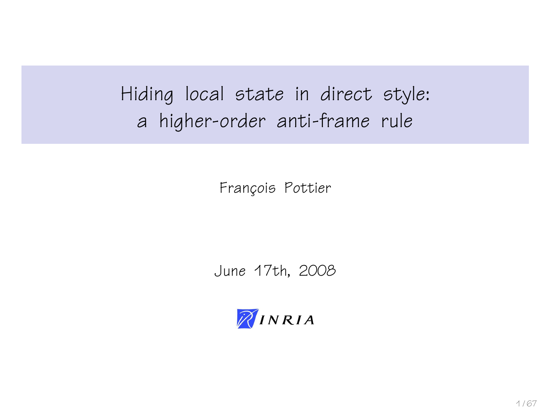Hiding local state in direct style: a higher-order anti-frame rule

François Pottier

June 17th, 2008

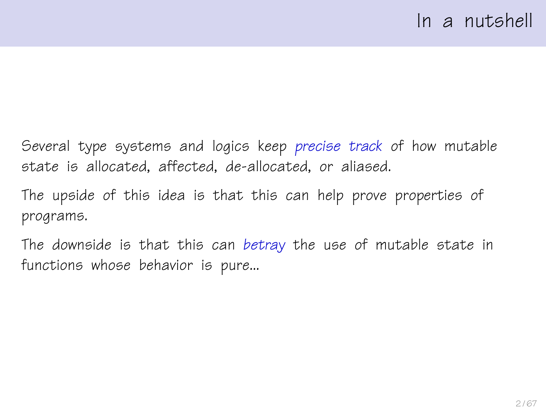Several type systems and logics keep precise track of how mutable state is allocated, affected, de-allocated, or aliased.

The upside of this idea is that this can help prove properties of programs.

The downside is that this can betray the use of mutable state in functions whose behavior is pure...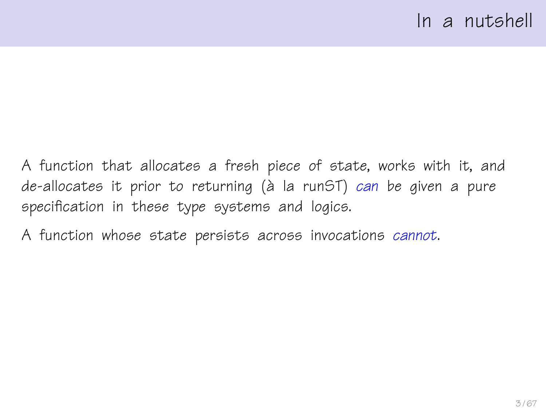A function that allocates a fresh piece of state, works with it, and  $de$ -allocates it prior to returning (à la run $ST$ ) can be given a pure specification in these type systems and logics.

A function whose state persists across invocations cannot.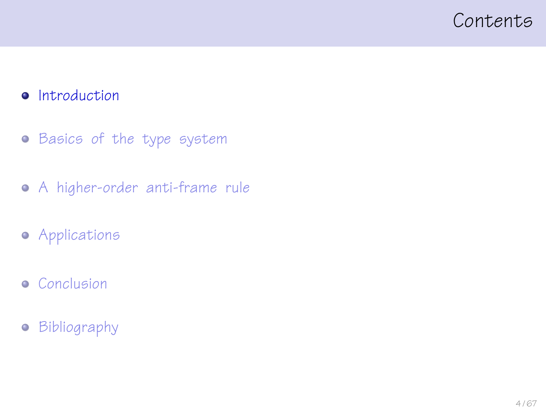#### <span id="page-3-0"></span>Contents

#### **·** [Introduction](#page-3-0)

- **•** [Basics of the type system](#page-13-0)
- [A higher-order anti-frame rule](#page-23-0)
- **•** [Applications](#page-41-0)
- **•** [Conclusion](#page-56-0)
- [Bibliography](#page-64-0)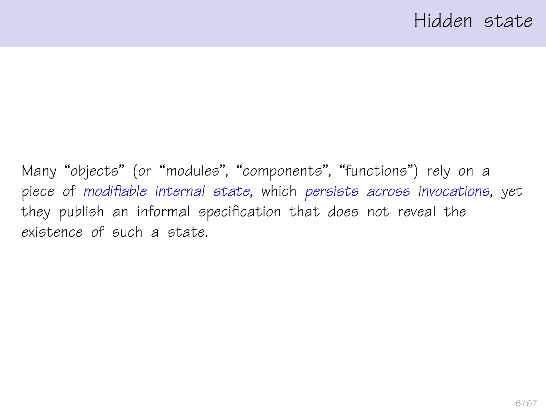Many "objects" (or "modules", "components", "functions") rely on a piece of modifiable internal state, which persists across invocations, yet they publish an informal specification that does not reveal the existence of such a state.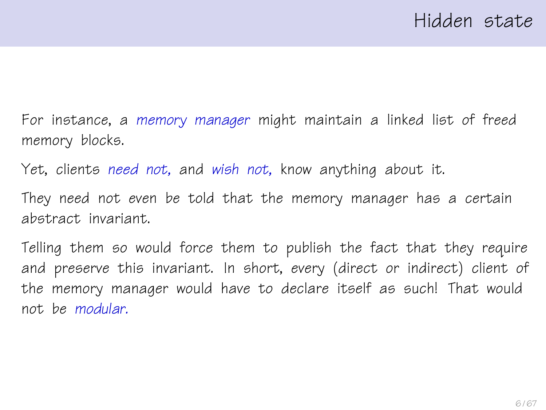For instance, a memory manager might maintain a linked list of freed memory blocks.

Yet, clients need not, and wish not, know anything about it.

They need not even be told that the memory manager has a certain abstract invariant.

Telling them so would force them to publish the fact that they require and preserve this invariant. In short, every (direct or indirect) client of the memory manager would have to declare itself as such! That would not be modular.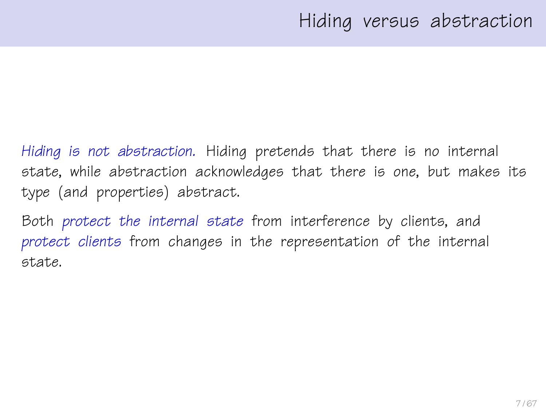Hiding is not abstraction. Hiding pretends that there is no internal state, while abstraction acknowledges that there is one, but makes its type (and properties) abstract.

Both protect the internal state from interference by clients, and protect clients from changes in the representation of the internal state.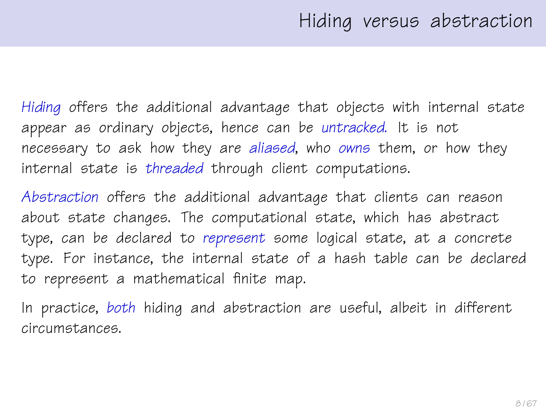Hiding offers the additional advantage that objects with internal state appear as ordinary objects, hence can be untracked. It is not necessary to ask how they are aliased, who owns them, or how they internal state is threaded through client computations.

Abstraction offers the additional advantage that clients can reason about state changes. The computational state, which has abstract type, can be declared to represent some logical state, at a concrete type. For instance, the internal state of a hash table can be declared to represent a mathematical finite map.

In practice, both hiding and abstraction are useful, albeit in different circumstances.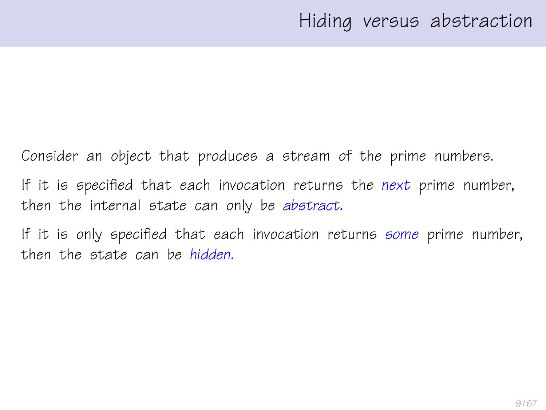Consider an object that produces a stream of the prime numbers. If it is specified that each invocation returns the next prime number, then the internal state can only be abstract.

If it is only specified that each invocation returns some prime number, then the state can be hidden.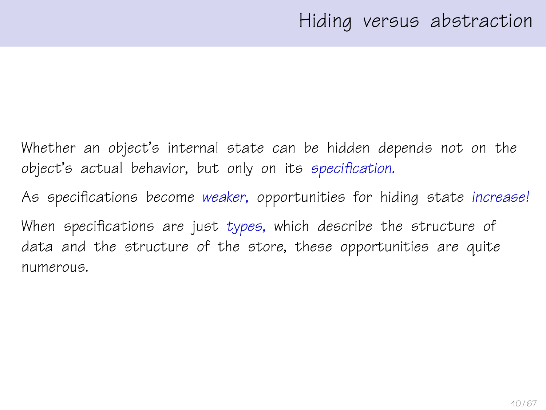Whether an object's internal state can be hidden depends not on the object's actual behavior, but only on its specification.

As specifications become weaker, opportunities for hiding state increase!

When specifications are just types, which describe the structure of data and the structure of the store, these opportunities are quite numerous.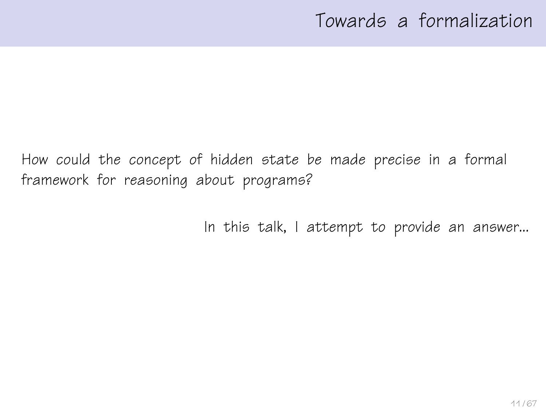# Towards a formalization

How could the concept of hidden state be made precise in a formal framework for reasoning about programs?

In this talk, I attempt to provide an answer...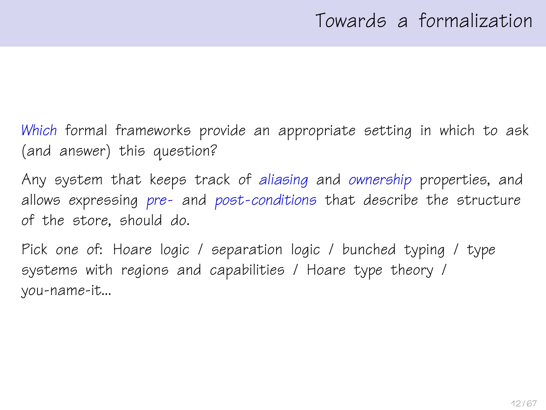Which formal frameworks provide an appropriate setting in which to ask (and answer) this question?

Any system that keeps track of aliasing and ownership properties, and allows expressing pre- and post-conditions that describe the structure of the store, should do.

Pick one of: Hoare logic / separation logic / bunched typing / type systems with regions and capabilities / Hoare type theory / you-name-it...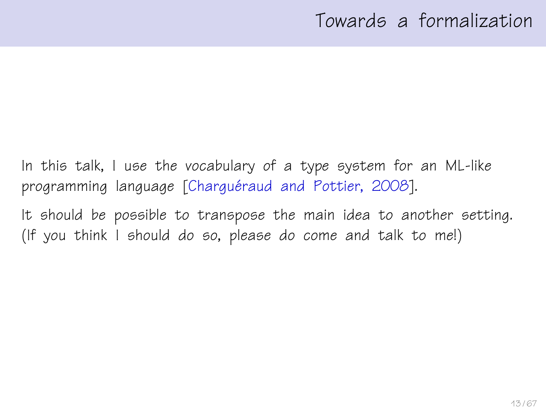## Towards a formalization

In this talk, I use the vocabulary of a type system for an ML-like programming language [Charguéraud and Pottier, 2008].

It should be possible to transpose the main idea to another setting. (If you think I should do so, please do come and talk to me!)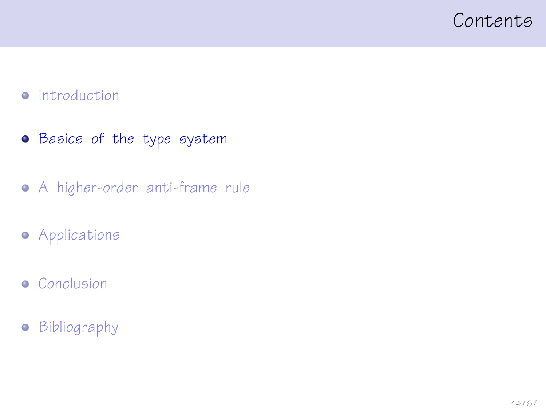#### <span id="page-13-0"></span>Contents

#### • [Introduction](#page-3-0)

- **•** [Basics of the type system](#page-13-0)
- [A higher-order anti-frame rule](#page-23-0)
- **•** [Applications](#page-41-0)
- **•** [Conclusion](#page-56-0)
- [Bibliography](#page-64-0)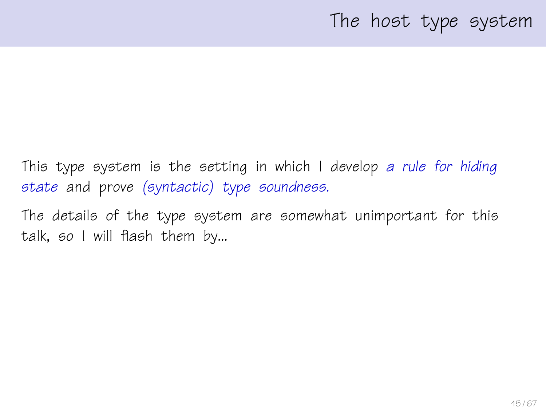## The host type system

This type system is the setting in which I develop a rule for hiding state and prove (syntactic) type soundness.

The details of the type system are somewhat unimportant for this talk, so I will flash them by...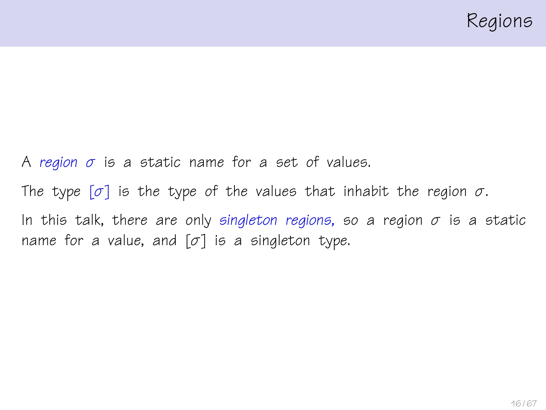A region  $\sigma$  is a static name for a set of values. The type  $[\sigma]$  is the type of the values that inhabit the region  $\sigma$ . In this talk, there are only singleton regions, so a region  $\sigma$  is a static name for a value, and  $[\sigma]$  is a singleton type.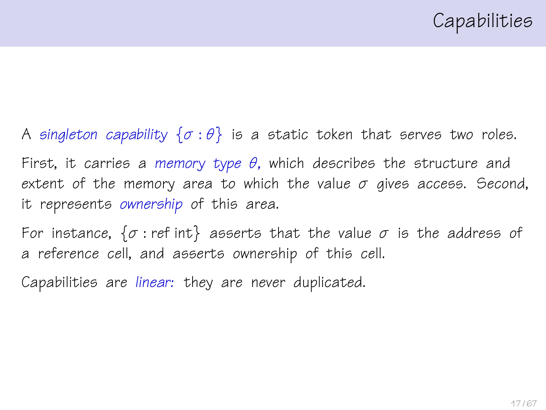A singleton capability  $\{\sigma : \theta\}$  is a static token that serves two roles.

First, it carries a memory type  $\theta$ , which describes the structure and extent of the memory area to which the value  $\sigma$  gives access. Second, it represents ownership of this area.

For instance,  $\{\sigma : \text{ref int}\}$  asserts that the value  $\sigma$  is the address of a reference cell, and asserts ownership of this cell.

Capabilities are linear: they are never duplicated.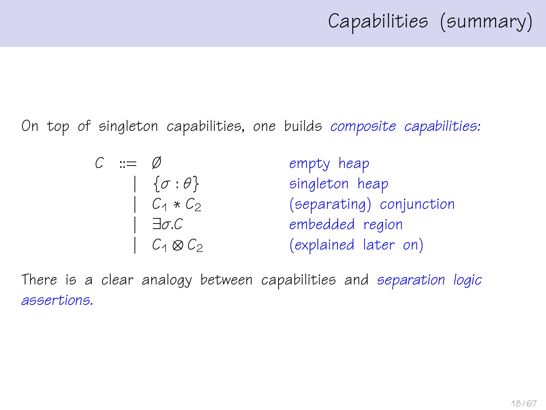On top of singleton capabilities, one builds composite capabilities:

| $C \cong \emptyset$ |                                | empty heap               |
|---------------------|--------------------------------|--------------------------|
|                     | $\left\{\sigma:\theta\right\}$ | singleton heap           |
|                     | $C_1 * C_2$                    | (separating) conjunction |
|                     | $ \exists \sigma C$            | embedded region          |
|                     | $\mid C_1 \otimes C_2$         | (explained later on)     |

There is a clear analogy between capabilities and separation logic assertions.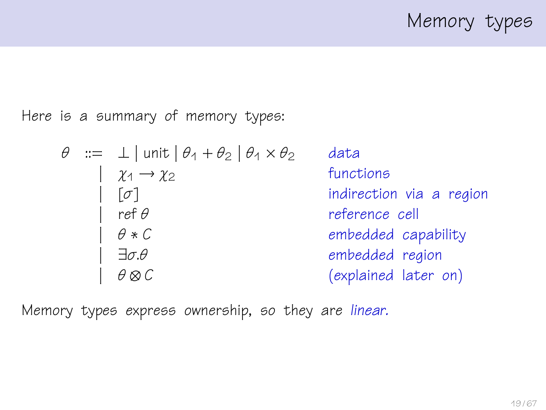Memory types

Here is a summary of memory types:

| $\theta$                    | :=                       | $\bot$   unit   $\theta_1 + \theta_2$   $\theta_1 \times \theta_2$ | data |
|-----------------------------|--------------------------|--------------------------------------------------------------------|------|
| $\chi_1 \rightarrow \chi_2$ | functions                |                                                                    |      |
| $\sigma$                    | indirection via a region |                                                                    |      |
| $\theta * C$                | embedded capability      |                                                                    |      |
| $\exists \sigma. \theta$    | embedded region          |                                                                    |      |
| $\theta \otimes C$          | (explained later on)     |                                                                    |      |

Memory types express ownership, so they are linear.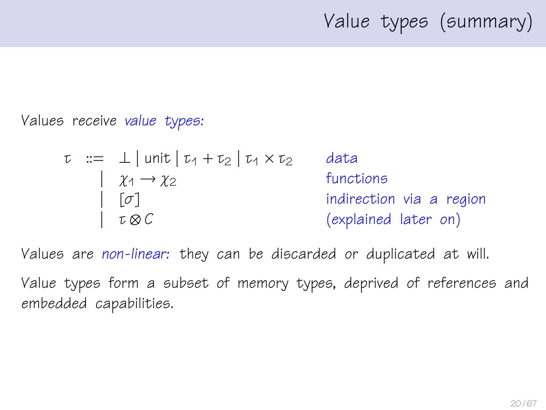# Value types (summary)

Values receive value types:

$$
\tau ::= \bot | \text{unit} | \tau_1 + \tau_2 | \tau_1 \times \tau_2
$$
 data  
\n
$$
[ \sigma ]
$$
  
\n
$$
[ \sigma ]
$$
  
\n
$$
[ \sigma \otimes C
$$
  
\n
$$
[ \sigma \otimes C
$$
  
\n
$$
[ \sigma \otimes C
$$
  
\n
$$
[ \sigma \otimes C
$$
  
\n
$$
[ \sigma \otimes C
$$
  
\n
$$
[ \sigma \otimes C
$$
  
\n
$$
[ \sigma \otimes C
$$
  
\n
$$
[ \sigma \otimes C
$$
  
\n
$$
[ \sigma \otimes C
$$
  
\n
$$
[ \sigma \otimes C
$$
  
\n
$$
[ \sigma \otimes C
$$
  
\n
$$
[ \sigma \otimes C
$$
  
\n
$$
[ \sigma \otimes C
$$
  
\n
$$
[ \sigma \otimes C
$$
  
\n
$$
[ \sigma \otimes C
$$
  
\n
$$
[ \sigma \otimes C
$$
  
\n
$$
[ \sigma \otimes C
$$
  
\n
$$
[ \sigma \otimes C]
$$
  
\n
$$
[ \sigma \otimes C]
$$
  
\n
$$
[ \sigma \otimes C]
$$
  
\n
$$
[ \sigma \otimes C]
$$
  
\n
$$
[ \sigma \otimes C]
$$
  
\n
$$
[ \sigma \otimes C]
$$
  
\n
$$
[ \sigma \otimes C]
$$
  
\n
$$
[ \sigma \otimes C]
$$
  
\n
$$
[ \sigma \otimes C]
$$
  
\n
$$
[ \sigma \otimes C]
$$
  
\n
$$
[ \sigma \otimes C]
$$
  
\n
$$
[ \sigma \otimes C]
$$
  
\n
$$
[ \sigma \otimes C]
$$
  
\n
$$
[ \sigma \otimes C]
$$
  
\n
$$
[ \sigma \otimes C]
$$
  
\n
$$
[ \sigma \otimes C]
$$
  
\n
$$
[ \sigma \otimes C]
$$
  
\n
$$
[ \sigma \otimes C]
$$
  
\n
$$
[ \sigma \otimes C]
$$
  
\n<math display="block</math>

Values are non-linear: they can be discarded or duplicated at will.

Value types form a subset of memory types, deprived of references and embedded capabilities.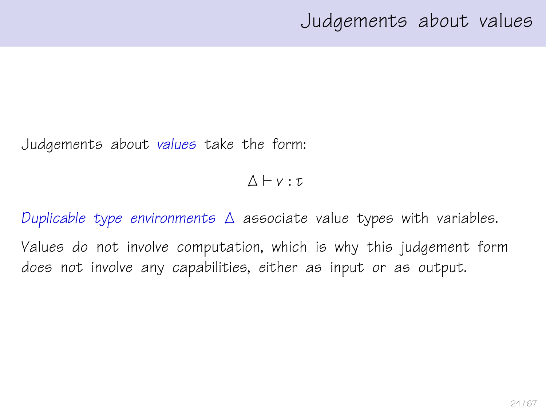## Judgements about values

Judgements about values take the form:

 $\Lambda \vdash v : \tau$ 

Duplicable type environments ∆ associate value types with variables. Values do not involve computation, which is why this judgement form does not involve any capabilities, either as input or as output.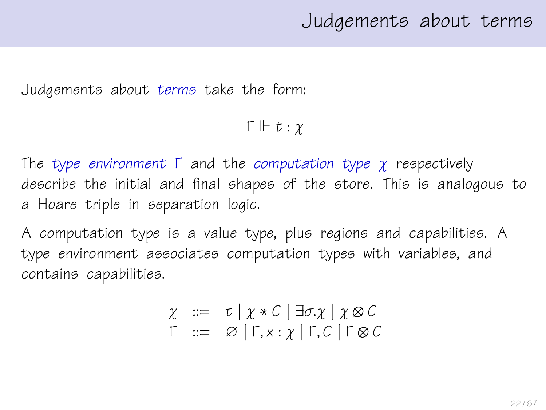### Judgements about terms

Judgements about terms take the form:

 $\Gamma \Vdash t : \gamma$ 

The type environment  $\Gamma$  and the computation type  $\chi$  respectively describe the initial and final shapes of the store. This is analogous to a Hoare triple in separation logic.

A computation type is a value type, plus regions and capabilities. A type environment associates computation types with variables, and contains capabilities.

$$
\chi := \tau | \chi * C | \exists \sigma. \chi | \chi \otimes C
$$
  

$$
\Gamma := \varnothing | \Gamma, x : \chi | \Gamma, C | \Gamma \otimes C
$$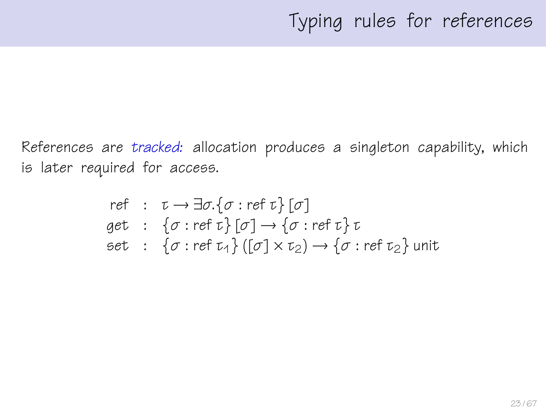References are tracked: allocation produces a singleton capability, which is later required for access.

ref : 
$$
\tau \to \exists \sigma. \{\sigma : \text{ref } \tau\} [\sigma]
$$
  
get :  $\{\sigma : \text{ref } \tau\} [\sigma] \to \{\sigma : \text{ref } \tau\} \tau$   
set :  $\{\sigma : \text{ref } \tau_4\} ([\sigma] \times \tau_2) \to \{\sigma : \text{ref } \tau_2\}$ unit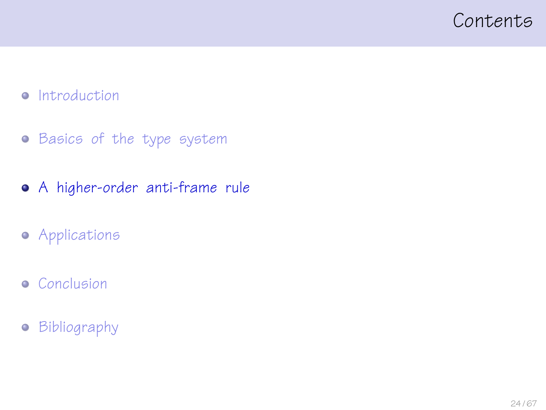#### <span id="page-23-0"></span>Contents

#### • [Introduction](#page-3-0)

- **•** [Basics of the type system](#page-13-0)
- [A higher-order anti-frame rule](#page-23-0)
- **•** [Applications](#page-41-0)
- **•** [Conclusion](#page-56-0)
- [Bibliography](#page-64-0)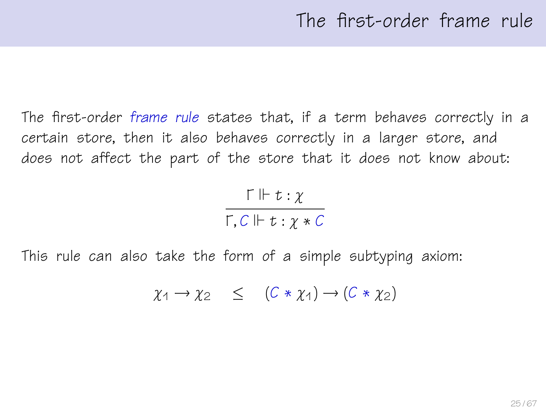The first-order frame rule states that, if a term behaves correctly in a certain store, then it also behaves correctly in a larger store, and does not affect the part of the store that it does not know about:

$$
\frac{\Gamma \Vdash t : \chi}{\Gamma, C \Vdash t : \chi * C}
$$

This rule can also take the form of a simple subtyping axiom:

$$
\chi_1 \to \chi_2 \quad \leq \quad (C * \chi_1) \to (C * \chi_2)
$$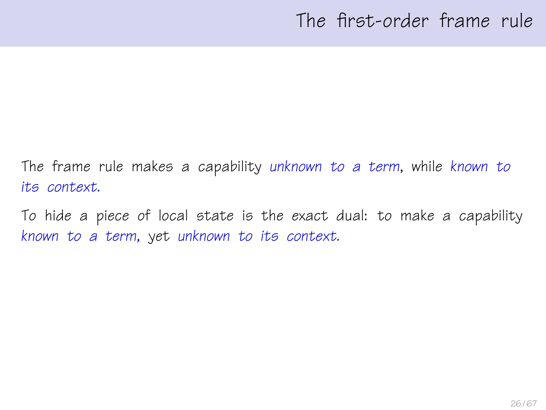# The first-order frame rule

The frame rule makes a capability unknown to a term, while known to its context.

To hide a piece of local state is the exact dual: to make a capability known to a term, yet unknown to its context.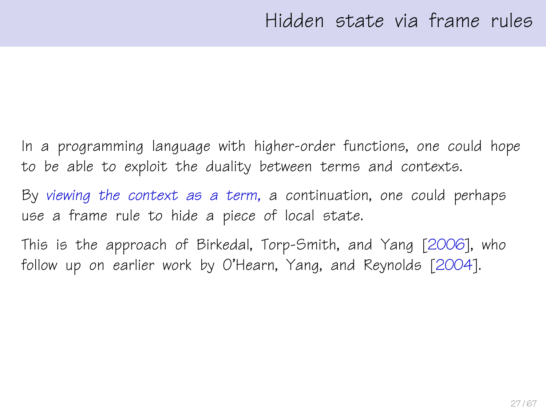In a programming language with higher-order functions, one could hope to be able to exploit the duality between terms and contexts.

By viewing the context as a term, a continuation, one could perhaps use a frame rule to hide a piece of local state.

This is the approach of Birkedal, Torp-Smith, and Yang [\[2006\]](#page-65-1), who follow up on earlier work by O'Hearn, Yang, and Reynolds [\[2004\]](#page-65-2).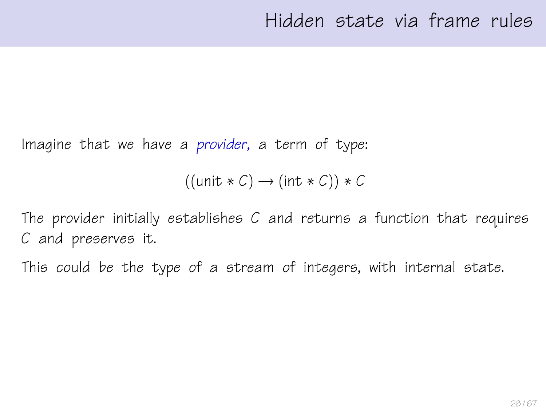Imagine that we have a provider, a term of type:

```
((unit * C) \rightarrow (int * C)) * C
```
The provider initially establishes C and returns a function that requires C and preserves it.

This could be the type of a stream of integers, with internal state.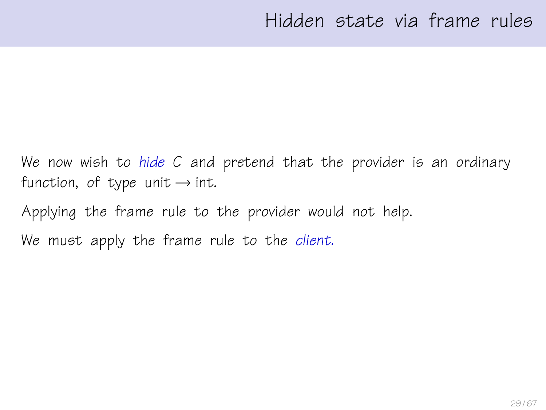We now wish to hide C and pretend that the provider is an ordinary function, of type unit  $\rightarrow$  int.

Applying the frame rule to the provider would not help. We must apply the frame rule to the client.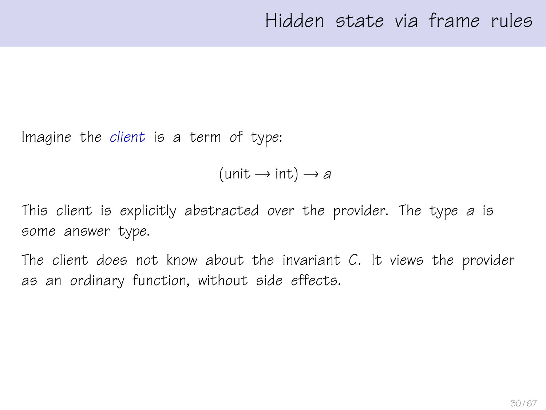Imagine the client is a term of type:

 $(\text{unit} \rightarrow \text{int}) \rightarrow a$ 

This client is explicitly abstracted over the provider. The type a is some answer type.

The client does not know about the invariant  $C$ . It views the provider as an ordinary function, without side effects.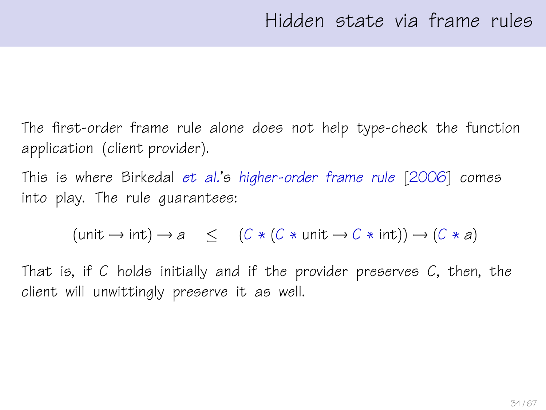The first-order frame rule alone does not help type-check the function application (client provider).

This is where Birkedal et al.'s higher-order frame rule [\[2006\]](#page-65-1) comes into play. The rule guarantees:

 $(\text{unit} \rightarrow \text{int}) \rightarrow a \leq (C * (C * \text{unit} \rightarrow C * \text{int})) \rightarrow (C * a)$ 

That is, if C holds initially and if the provider preserves  $C$ , then, the client will unwittingly preserve it as well.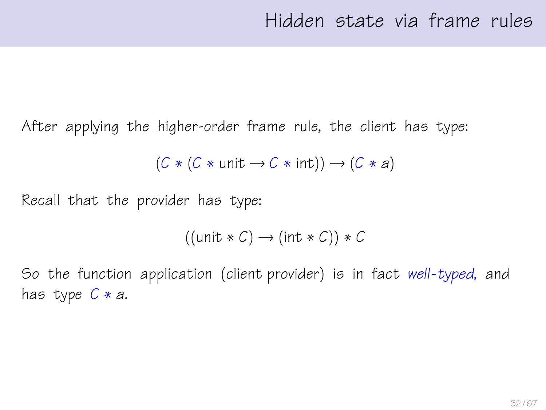After applying the higher-order frame rule, the client has type:

$$
(C * (C * unit \rightarrow C * int)) \rightarrow (C * a)
$$

Recall that the provider has type:

$$
((\text{unit} * C) \to (\text{int} * C)) * C
$$

So the function application (client provider) is in fact well-typed, and has type  $C * a$ .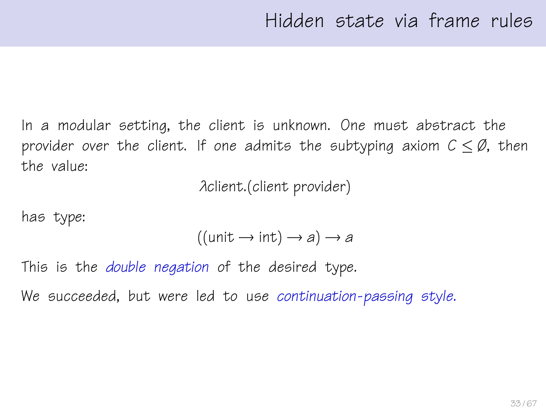In a modular setting, the client is unknown. One must abstract the provider over the client. If one admits the subtyping axiom  $C \leq \emptyset$ , then the value:

λclient.(client provider)

has type:

$$
((unit \rightarrow int) \rightarrow a) \rightarrow a
$$

This is the *double negation* of the desired type.

We succeeded, but were led to use continuation-passing style.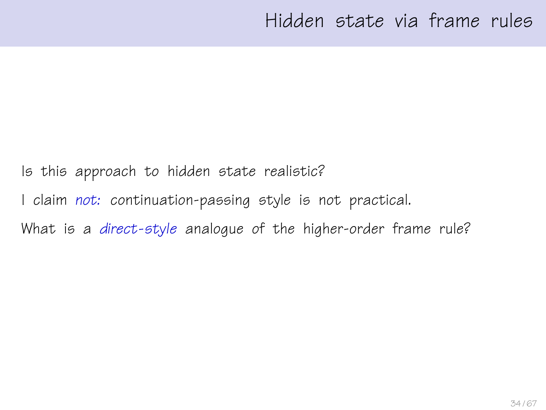Is this approach to hidden state realistic?

I claim not: continuation-passing style is not practical.

What is a direct-style analogue of the higher-order frame rule?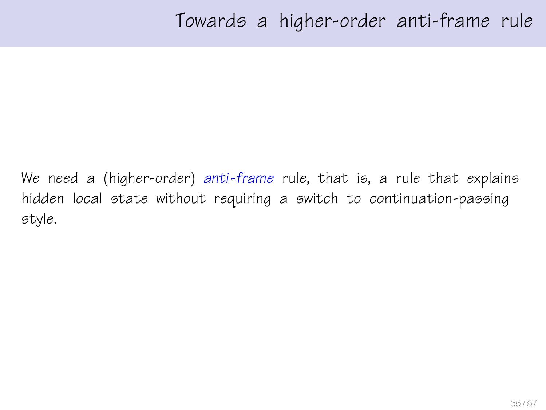We need a (higher-order) anti-frame rule, that is, a rule that explains hidden local state without requiring a switch to continuation-passing style.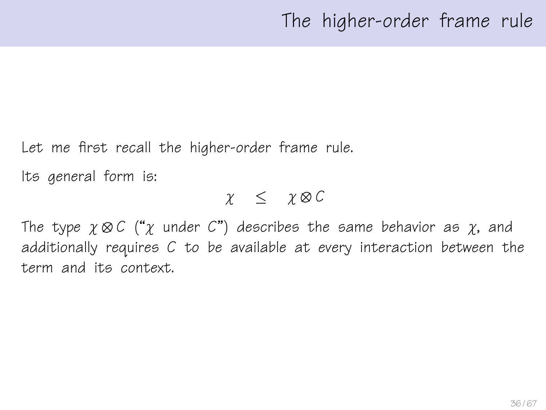Let me first recall the higher-order frame rule.

Its general form is:

 $\chi$   $\leq$   $\chi \otimes C$ 

The type  $\gamma \otimes C$  (" $\gamma$  under C") describes the same behavior as  $\gamma$ , and additionally requires C to be available at every interaction between the term and its context.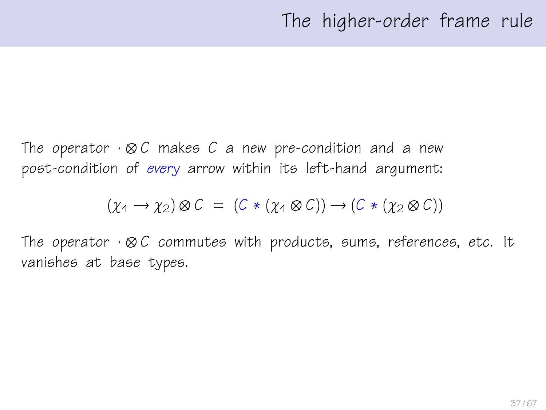The operator  $\cdot \otimes C$  makes C a new pre-condition and a new post-condition of every arrow within its left-hand argument:

$$
(\chi_1 \to \chi_2) \otimes C = (C * (\chi_1 \otimes C)) \to (C * (\chi_2 \otimes C))
$$

The operator  $\cdot \otimes C$  commutes with products, sums, references, etc. It vanishes at base types.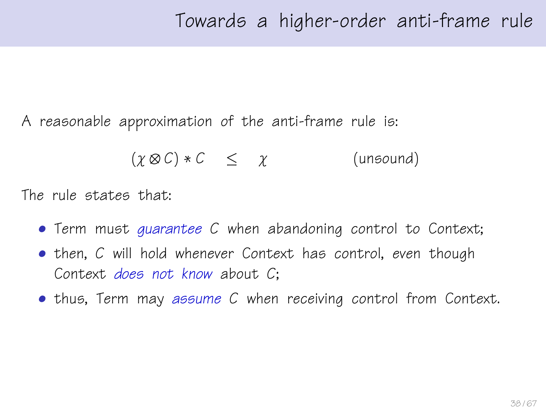A reasonable approximation of the anti-frame rule is:

$$
(\chi \otimes C) * C \leq \chi \qquad \qquad \text{(unsound)}
$$

The rule states that:

- Term must quarantee C when abandoning control to Context;
- then, C will hold whenever Context has control, even though Context does not know about C;
- thus, Term may assume C when receiving control from Context.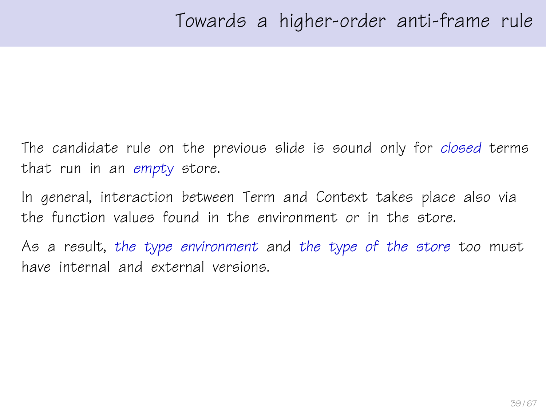The candidate rule on the previous slide is sound only for closed terms that run in an empty store.

In general, interaction between Term and Context takes place also via the function values found in the environment or in the store.

As a result, the type environment and the type of the store too must have internal and external versions.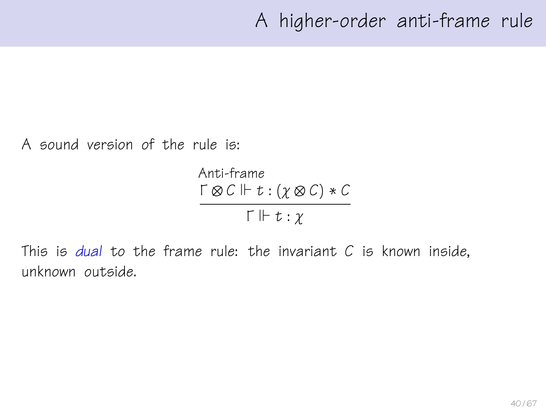A sound version of the rule is:

Anti-frame  $\Gamma \otimes C \Vdash t : (\chi \otimes C) * C$  $\Gamma \Vdash t : \chi$ 

This is dual to the frame rule: the invariant  $C$  is known inside. unknown outside.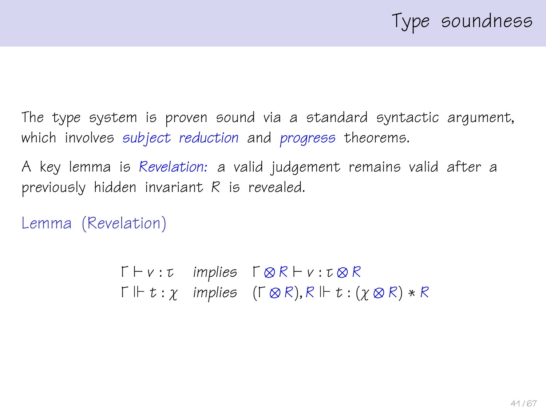The type system is proven sound via a standard syntactic argument, which involves subject reduction and progress theorems.

A key lemma is Revelation: a valid judgement remains valid after a previously hidden invariant R is revealed.

Lemma (Revelation)

 $\Gamma \vdash v : \tau$  implies  $\Gamma \otimes R \vdash v : \tau \otimes R$  $\Gamma \Vdash t : \gamma$  implies  $(\Gamma \otimes R), R \Vdash t : (\gamma \otimes R) * R$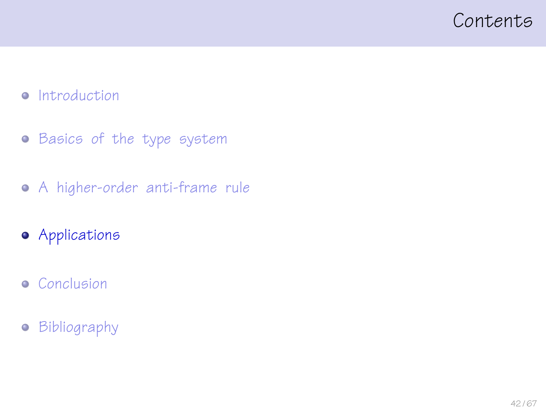#### <span id="page-41-0"></span>Contents

#### • [Introduction](#page-3-0)

- **•** [Basics of the type system](#page-13-0)
- [A higher-order anti-frame rule](#page-23-0)
- [Applications](#page-41-0)
- **•** [Conclusion](#page-56-0)
- [Bibliography](#page-64-0)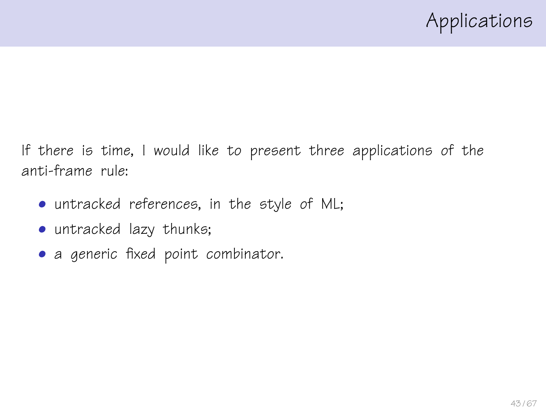If there is time, I would like to present three applications of the anti-frame rule:

- untracked references, in the style of ML;
- untracked lazy thunks;
- a generic fixed point combinator.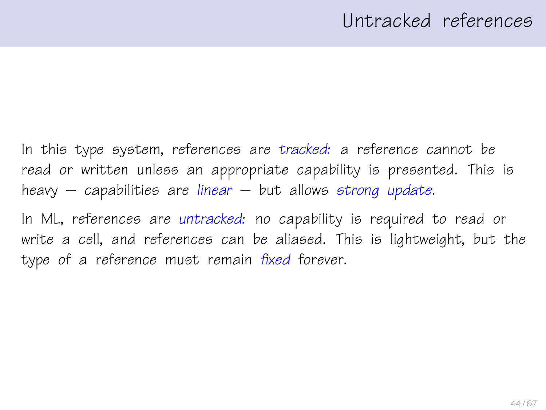# Untracked references

In this type system, references are tracked: a reference cannot be read or written unless an appropriate capability is presented. This is heavy  $-$  capabilities are linear  $-$  but allows strong update.

In ML, references are untracked: no capability is required to read or write a cell, and references can be aliased. This is lightweight, but the type of a reference must remain fixed forever.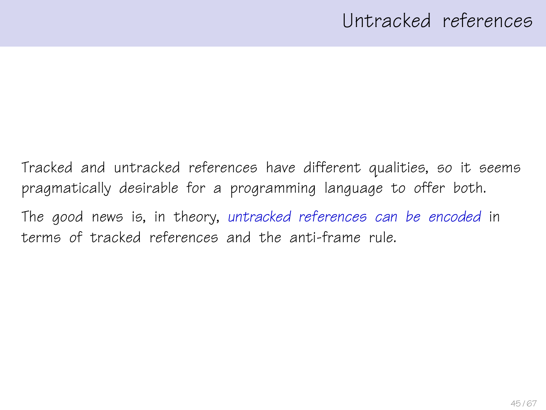# Untracked references

Tracked and untracked references have different qualities, so it seems pragmatically desirable for a programming language to offer both. The good news is, in theory, untracked references can be encoded in terms of tracked references and the anti-frame rule.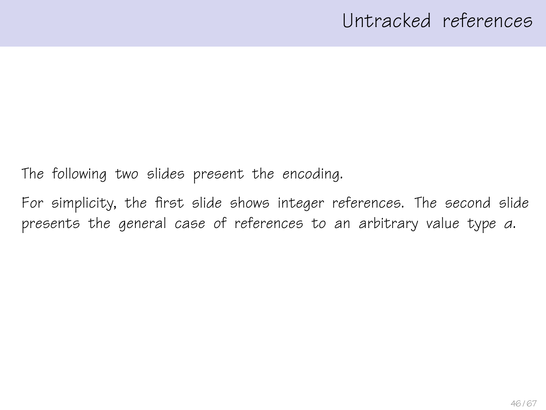# Untracked references

The following two slides present the encoding.

For simplicity, the first slide shows integer references. The second slide presents the general case of references to an arbitrary value type α.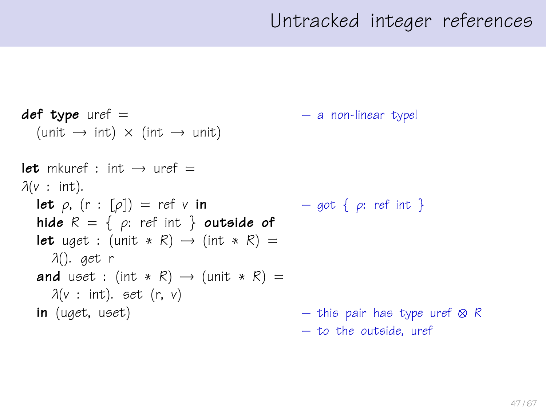```
def type uref = – a non-linear type!
 (\text{unit} \rightarrow \text{int}) \times (\text{int} \rightarrow \text{unit})let mkuref : int \rightarrow uref =\lambda(v : \text{int}).let \rho, (r : [\rho]) = ref \vee in – got \{\rho: ref \in \mathbb{R}\}\)hide R = \{ \rho: \text{ref int } \} outside of
 let uget : (unit * R) \rightarrow (int * R) =
   λ(). get r
and uset : (int * R) \rightarrow (unit * R) =
   \lambda(v : \text{int}). set (r, v)in (uget, uset) – this pair has type uref ⊗ R
                                                 – to the outside, uref
```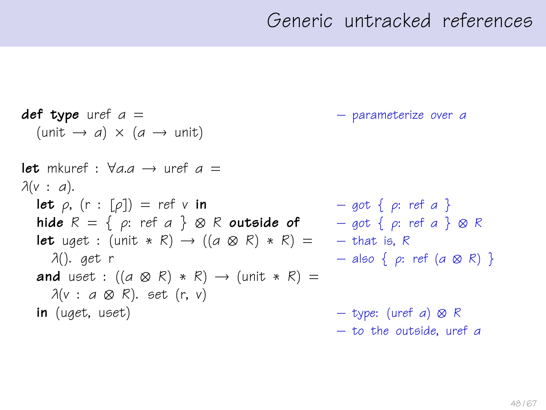**def type** uref  $a =$   $-$  parameterize over a  $(\text{unit} \rightarrow a) \times (a \rightarrow \text{unit})$ let mkuref :  $\forall$ a.a  $\rightarrow$  uref a =  $\lambda(v : a)$ . **let**  $\rho$ ,  $(r : [\rho]) = ref v$  in  $- qot \{ \rho : ref a \}$ hide  $R = \{ \rho: \text{ref } a \} \otimes R$  outside of  $\qquad - \text{got } \{ \rho: \text{ref } a \} \otimes R$ **let** uget : (unit \* R)  $\rightarrow$  ((a  $\otimes$  R) \* R) = – that is, R λ(). get r  $-$  also { ρ: ref (a  $\otimes$  R) } and uset :  $((a \otimes R) * R) \rightarrow (unit * R) =$  $\lambda$ (v : a  $\otimes$  R). set (r, v) **in** (uget, uset) – type: (uref a)  $\otimes$  R – to the outside, uref α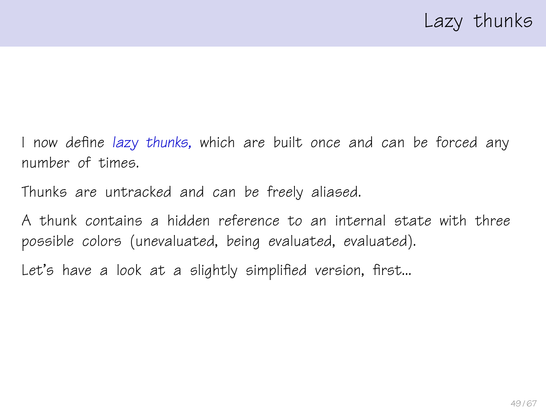I now define lazy thunks, which are built once and can be forced any number of times.

Thunks are untracked and can be freely aliased.

A thunk contains a hidden reference to an internal state with three possible colors (unevaluated, being evaluated, evaluated).

Let's have a look at a slightly simplified version, first...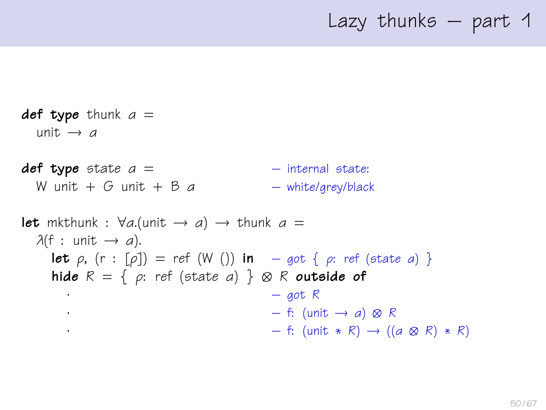## Lazy thunks – part 1

def type thunk  $a =$ unit  $\rightarrow$  a  $def type state a =$  – internal state: W unit  $+$  G unit  $+$  B a – white/grey/black **let** mkthunk :  $\forall a$ .(unit  $\rightarrow a$ )  $\rightarrow$  thunk  $a =$  $\lambda(f : \text{unit} \rightarrow a)$ . **let**  $\rho$ ,  $(r : [\rho]) = ref (W ())$  in  $-got \{ \rho : ref (state \ a) \}$ hide  $R = \{ \rho: \text{ref } (\text{state } a) \} \otimes R$  outside of  $-$  got R  $\cdot$  – f: (unit → a) ⊗ R  $-$  f: (unit  $*$  R) → ((a  $\otimes$  R)  $*$  R)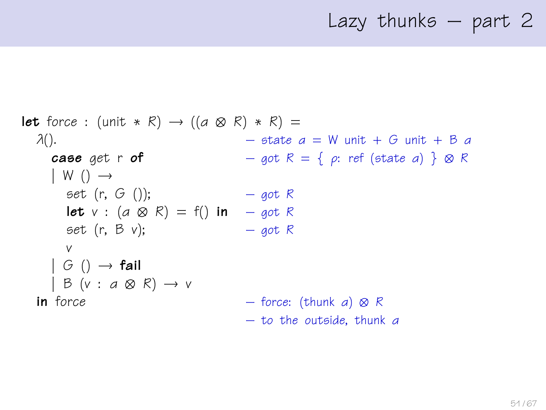### Lazy thunks – part 2

```
let force : (unit * R) \rightarrow ((a \otimes R) * R) =
\lambda(). - state a = W unit + G unit + B acase get r of - got R = \{ \rho : \text{ref} \text{ (state } a) \} \otimes R| W ( ) \rightarrowset (r, G)); - got R
    let v : (a \otimes R) = f() in – got R
    set (r, B, v); – got R
    v
  | G ( ) \rightarrow fail
  | B (v : a \otimes R) \rightarrow vin force - force: (thunk a) \otimes R– to the outside, thunk α
```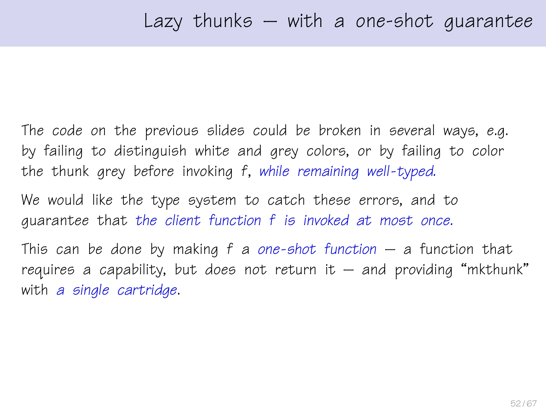The code on the previous slides could be broken in several ways, e.g. by failing to distinguish white and grey colors, or by failing to color the thunk grey before invoking f, while remaining well-typed.

We would like the type system to catch these errors, and to guarantee that the client function f is invoked at most once.

This can be done by making  $f$  a one-shot function – a function that requires a capability, but does not return it  $-$  and providing "mkthunk" with a single cartridge.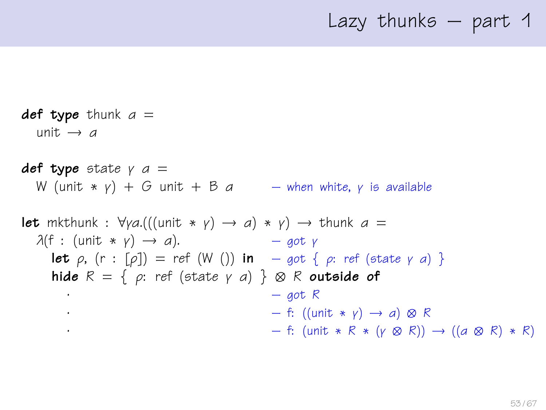### Lazy thunks – part 1

def type thunk  $a =$ unit  $\rightarrow$  a **def type** state  $\gamma$  a = W (unit  $* v$ ) + G unit + B a – when white, y is available **let** mkthunk :  $\forall y a. (((unit * y) \rightarrow a) * y) \rightarrow thunk a =$  $\lambda(f : (\text{unit} * \gamma) \rightarrow a).$  – got γ **let**  $\rho$ ,  $(r : [\rho]) = ref (W())$  in  $-got \{ \rho : ref (state \gamma \ a) \}$ hide  $R = \{ \rho: \text{ref } (\text{state } \gamma \text{ a}) \} \otimes R$  outside of  $-$  got R  $\cdot$  – f: ((unit  $*$   $\vee$ )  $\rightarrow$  a)  $\otimes$  R  $-$  f: (unit  $\ast$  R  $\ast$  (γ ⊗ R)) → ((a ⊗ R)  $\ast$  R)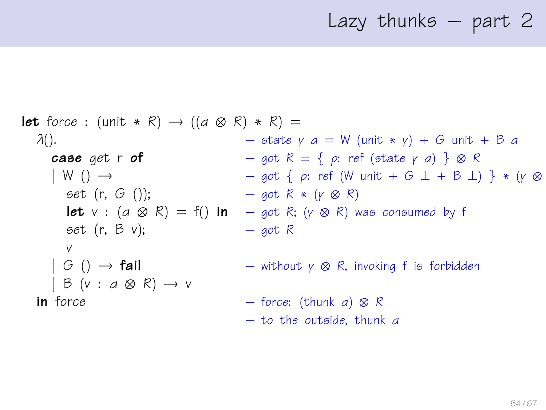# Lazy thunks – part 2

**let** force: (unit \* R) 
$$
\rightarrow
$$
 ((a  $\otimes$  R) \* R) =

\n $\lambda()$ .

\n**case** get **r** of

\n $\downarrow$  W ()  $\rightarrow$ 

\n**set** (r, G();

\n**let** v : (a  $\otimes$  R) = f() in

\n $\rightarrow$  got R = { p: ref (state  $\gamma$  a) }  $\otimes$  R

\n**let** v : (a  $\otimes$  R) = f() in

\n $\rightarrow$  got R \* (p  $\otimes$  R) was consumed by f

\n**set** (r, B v);

\n $\downarrow$  G()  $\rightarrow$  fail

\n $\downarrow$  B (v : a  $\otimes$  R)  $\rightarrow$  v

\n**in** force: (think a)  $\otimes$  R

\n $\rightarrow$  to the outside, think a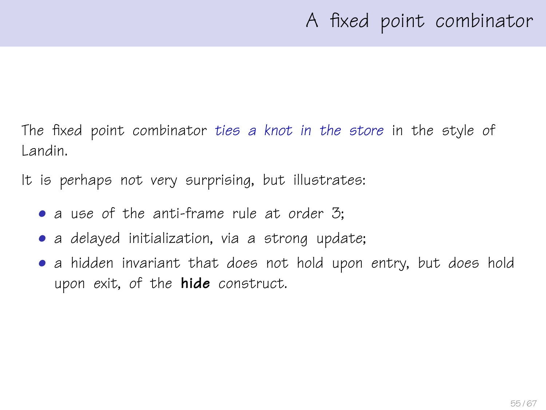The fixed point combinator ties a knot in the store in the style of Landin.

It is perhaps not very surprising, but illustrates:

- a use of the anti-frame rule at order 3:
- a delayed initialization, via a strong update;
- a hidden invariant that does not hold upon entry, but does hold upon exit, of the **hide** construct.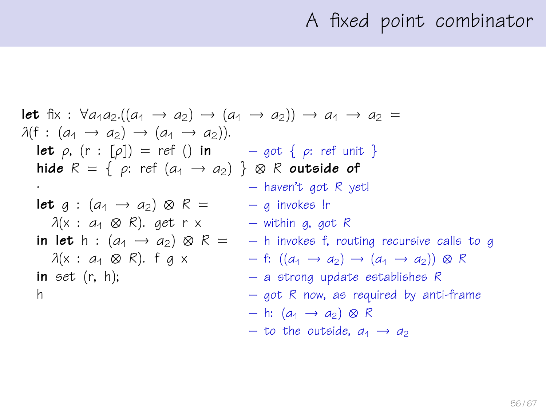# A fixed point combinator

let fix : 
$$
\forall a_1a_2.\((a_1 \rightarrow a_2) \rightarrow (a_1 \rightarrow a_2)) \rightarrow a_1 \rightarrow a_2 =
$$
  
\n $\lambda(f : (a_1 \rightarrow a_2) \rightarrow (a_1 \rightarrow a_2)).$   
\nlet  $\rho$ , (r : [ $\rho$ ]) = ref () in - got {  $\rho$ : ref unit }  
\nhide  $R = \{ \rho$ : ref  $(a_1 \rightarrow a_2) \}$   $\otimes$  R outside of - haven't got R yet!  
\nlet  $g : (a_1 \rightarrow a_2) \otimes R = -g$  invokes!r  
\n $\lambda(x : a_1 \otimes R)$ . get r x - within g, got R  
\nin let h :  $(a_1 \rightarrow a_2) \otimes R = -h$  invokes f, routing recursive calls to g  
\n $\lambda(x : a_1 \otimes R)$ . f g x - f:  $((a_1 \rightarrow a_2) \rightarrow (a_1 \rightarrow a_2)) \otimes R$   
\nin set (r, h); - a strong update establishes R  
\n- got R now, as required by anti-frame  
\n- h:  $(a_1 \rightarrow a_2) \otimes R$   
\n- to the outside,  $a_1 \rightarrow a_2$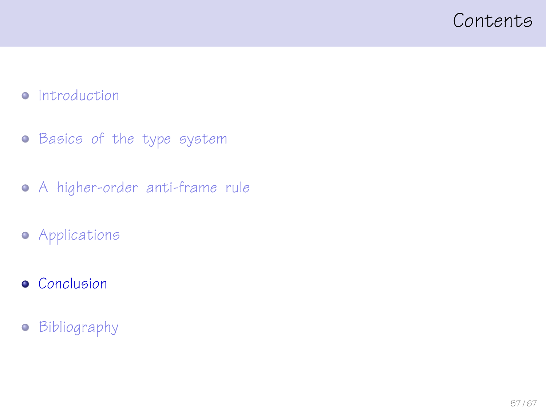#### <span id="page-56-0"></span>Contents

#### • [Introduction](#page-3-0)

- **•** [Basics of the type system](#page-13-0)
- [A higher-order anti-frame rule](#page-23-0)
- **•** [Applications](#page-41-0)
- **•** [Conclusion](#page-56-0)
- **•** [Bibliography](#page-64-0)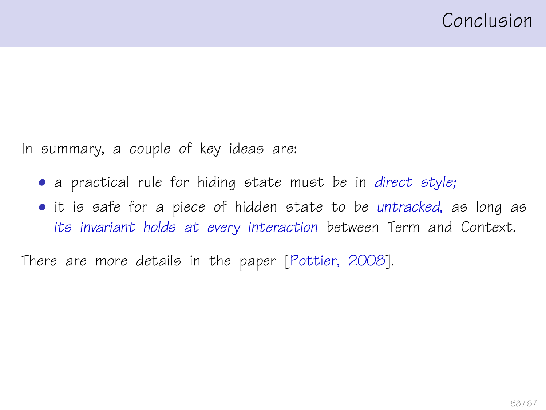In summary, a couple of key ideas are:

- a practical rule for hiding state must be in direct style;
- it is safe for a piece of hidden state to be untracked, as long as its invariant holds at every interaction between Term and Context.

There are more details in the paper [\[Pottier, 2008\]](#page-66-0).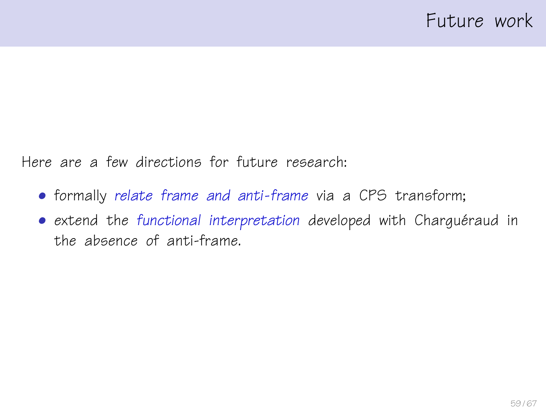Here are a few directions for future research:

- formally relate frame and anti-frame via a CPS transform;
- extend the functional interpretation developed with Charguéraud in the absence of anti-frame.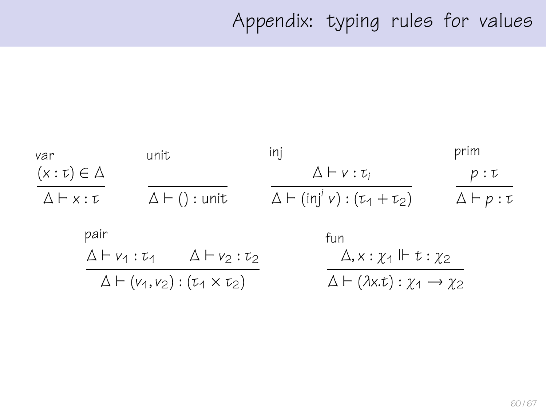# Appendix: typing rules for values

| var                                                 | unit                         |                                                          | inj                                             | prim                     |
|-----------------------------------------------------|------------------------------|----------------------------------------------------------|-------------------------------------------------|--------------------------|
| $(x:\tau) \in \Delta$                               |                              |                                                          | $\Delta \vdash v : \tau_i$                      | p:U                      |
| $\Delta$ $\vdash$ $x : \tau$                        |                              | $\Delta \vdash ()$ : unit                                | $\Delta \vdash (inj' \; v) : (\tau_1 + \tau_2)$ | $\Delta \vdash p : \tau$ |
| pair                                                |                              |                                                          | fun                                             |                          |
|                                                     | $\Delta \vdash v_1 : \tau_1$ | $\Delta \vdash v_2 : \tau_2$                             | $\Delta$ , $x : \chi_1 \Vdash t : \chi_2$       |                          |
| $\Delta \vdash (v_1, v_2) : (\tau_1 \times \tau_2)$ |                              | $\Delta \vdash (\lambda x.t): \chi_1 \rightarrow \chi_2$ |                                                 |                          |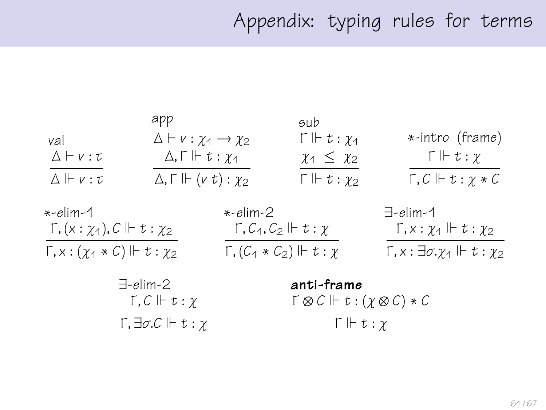# Appendix: typing rules for terms

|                                               | app                                           | sub                                  |                                        |
|-----------------------------------------------|-----------------------------------------------|--------------------------------------|----------------------------------------|
| val                                           | $\Delta \vdash v : \chi_1 \rightarrow \chi_2$ | $\Gamma \Vdash t : \gamma_1$         | *-intro (frame)                        |
| $\Delta$ $\vdash$ $v : \tau$                  | $\Delta, \Gamma \Vdash t : \chi_1$            | $\chi_1 \leq \chi_2$                 | $\Gamma \Vdash t : \chi$               |
| $\Delta$ $\Vdash$ $v : \tau$                  | $\Delta, \Gamma \Vdash (v t): \chi_2$         | $\Gamma \Vdash t : \chi_2$           | $\Gamma, C \Vdash t : \gamma * C$      |
| *-elim-1                                      |                                               | *-elim-2                             | $\exists$ -elim-1                      |
| $\Gamma$ , $(x:\chi_1)$ , $C \Vdash t:\chi_2$ |                                               | $\Gamma, C_1, C_2 \Vdash t : \gamma$ | $\Gamma, x : \chi_1 \Vdash t : \chi_2$ |

 $\Gamma$ ,  $x : (\chi_1 * C) \Vdash t : \chi_2$   $\qquad \qquad \Gamma$ ,  $(C_1 * C_2) \Vdash t : \chi$   $\qquad \qquad \Gamma$ ,  $x : \exists \sigma$ ,  $\chi_1 \Vdash t : \chi_2$ 

| $\exists$ -elim-2                                     |
|-------------------------------------------------------|
| $\Gamma, C \Vdash t : \gamma$                         |
| $\Gamma, \exists \sigma. \mathcal{C} \Vdash t : \chi$ |

anti-frame  $\Gamma \otimes C \Vdash t : (\chi \otimes C) * C$  $\Gamma \Vdash t : \chi$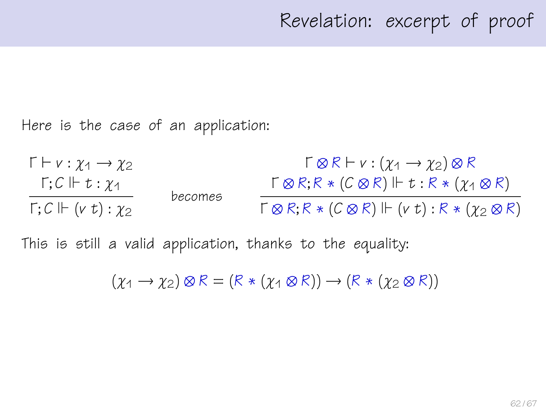Here is the case of an application:

 $\Gamma \vdash v : \chi_1 \rightarrow \chi_2$  $Γ; C \Vdash t : \gamma_1$  $\Gamma: C \Vdash (v t): \gamma_2$ becomes  $\Gamma \otimes R \vdash v : (\gamma_1 \rightarrow \gamma_2) \otimes R$  $\Gamma \otimes R$ ;  $R * (C \otimes R)$   $\Vdash t : R * (\chi_1 \otimes R)$  $\Gamma \otimes R: R * (C \otimes R) \Vdash (v t): R * (v_2 \otimes R)$ 

This is still a valid application, thanks to the equality:

 $(\gamma_1 \rightarrow \gamma_2) \otimes R = (R * (\gamma_1 \otimes R)) \rightarrow (R * (\gamma_2 \otimes R))$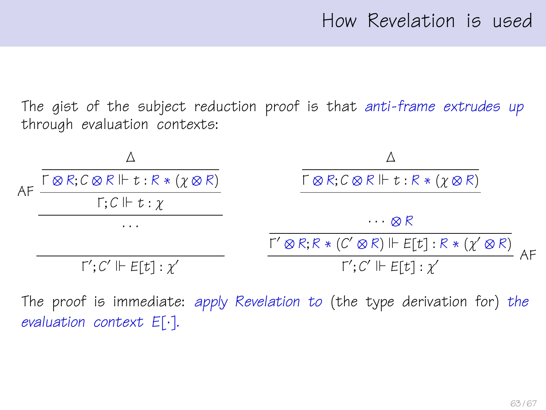The gist of the subject reduction proof is that anti-frame extrudes up through evaluation contexts:



The proof is immediate: apply Revelation to (the type derivation for) the evaluation context E[·].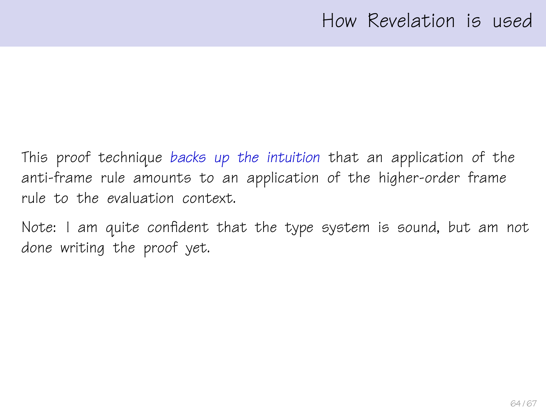### How Revelation is used

This proof technique backs up the intuition that an application of the anti-frame rule amounts to an application of the higher-order frame rule to the evaluation context.

Note: I am quite confident that the type system is sound, but am not done writing the proof yet.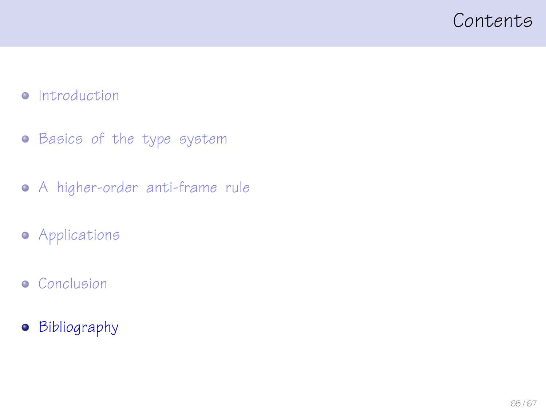#### <span id="page-64-0"></span>Contents

#### • [Introduction](#page-3-0)

- **•** [Basics of the type system](#page-13-0)
- [A higher-order anti-frame rule](#page-23-0)
- **•** [Applications](#page-41-0)
- **•** [Conclusion](#page-56-0)
- **•** [Bibliography](#page-64-0)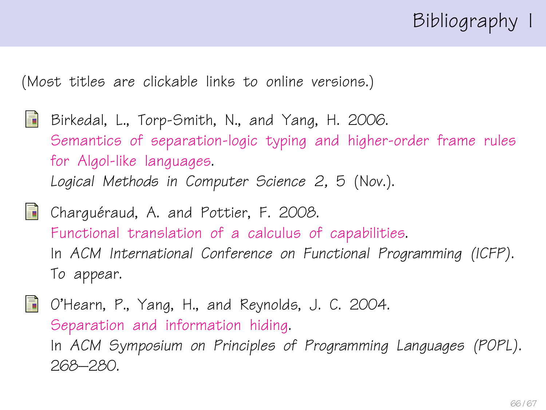# Bibliography I

(Most titles are clickable links to online versions.)

- <span id="page-65-1"></span>記 Birkedal, L., Torp-Smith, N., and Yang, H. 2006. [Semantics of separation-logic typing and higher-order frame rules](http://arxiv.org/pdf/cs.LO/0610081) [for Algol-like languages.](http://arxiv.org/pdf/cs.LO/0610081) Logical Methods in Computer Science 2, 5 (Nov.).
- <span id="page-65-0"></span>**Charguéraud, A. and Pottier, F. 2008.** [Functional translation of a calculus of capabilities.](http://cristal.inria.fr/~fpottier/publis/chargueraud-pottier-capabilities.pdf) In ACM International Conference on Functional Programming (ICFP). To appear.

<span id="page-65-2"></span>O'Hearn, P., Yang, H., and Reynolds, J. C. 2004. [Separation and information hiding.](http://www.dcs.qmul.ac.uk/~ohearn/papers/separation-and-hiding.pdf) In ACM Symposium on Principles of Programming Languages (POPL). 268–280.